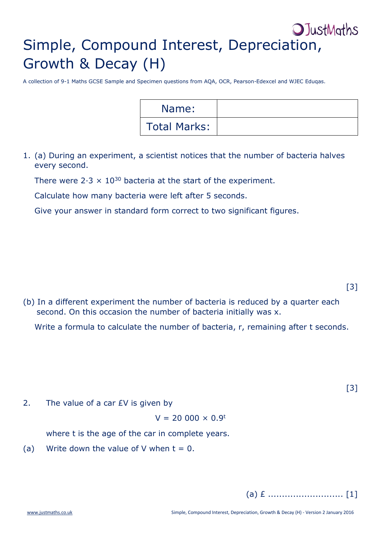## **O**JustMaths Simple, Compound Interest, Depreciation, Growth & Decay (H)

A collection of 9-1 Maths GCSE Sample and Specimen questions from AQA, OCR, Pearson-Edexcel and WJEC Eduqas.

| Name:               |  |
|---------------------|--|
| <b>Total Marks:</b> |  |

1. (a) During an experiment, a scientist notices that the number of bacteria halves every second.

There were  $2·3 \times 10^{30}$  bacteria at the start of the experiment.

Calculate how many bacteria were left after 5 seconds.

Give your answer in standard form correct to two significant figures.

(b) In a different experiment the number of bacteria is reduced by a quarter each second. On this occasion the number of bacteria initially was x.

Write a formula to calculate the number of bacteria, r, remaining after t seconds.

[3]

2. The value of a car £V is given by

 $V = 20,000 \times 0.9^t$ 

where t is the age of the car in complete years.

(a) Write down the value of V when  $t = 0$ .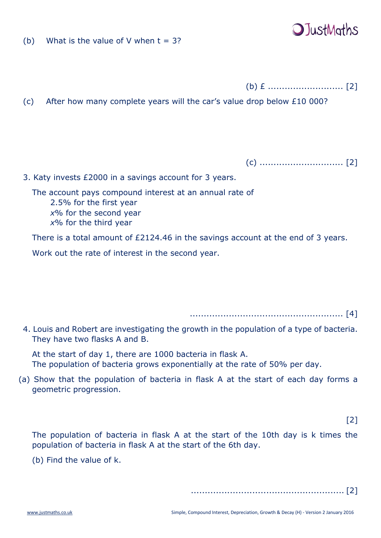

(b) What is the value of V when  $t = 3$ ?

(b) £ ........................... [2]

(c) After how many complete years will the car's value drop below £10 000?

(c) .............................. [2]

3. Katy invests £2000 in a savings account for 3 years.

The account pays compound interest at an annual rate of 2.5% for the first year *x*% for the second year *x*% for the third year

There is a total amount of £2124.46 in the savings account at the end of 3 years.

Work out the rate of interest in the second year.

....................................................... [4]

4. Louis and Robert are investigating the growth in the population of a type of bacteria. They have two flasks A and B.

At the start of day 1, there are 1000 bacteria in flask A. The population of bacteria grows exponentially at the rate of 50% per day.

(a) Show that the population of bacteria in flask A at the start of each day forms a geometric progression.

[2]

The population of bacteria in flask A at the start of the 10th day is k times the population of bacteria in flask A at the start of the 6th day.

(b) Find the value of k.

....................................................... [2]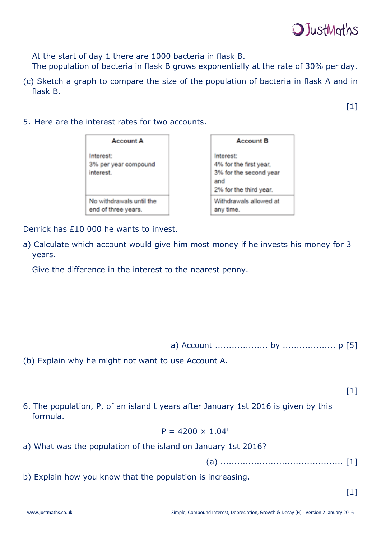

 $[1]$ 

At the start of day 1 there are 1000 bacteria in flask B. The population of bacteria in flask B grows exponentially at the rate of 30% per day.

- (c) Sketch a graph to compare the size of the population of bacteria in flask A and in flask B.
- 5. Here are the interest rates for two accounts.

| <b>Account A</b>                                |  |  |  |  |  |
|-------------------------------------------------|--|--|--|--|--|
| Interest:<br>3% per year compound<br>interest.  |  |  |  |  |  |
| No withdrawals until the<br>end of three years. |  |  |  |  |  |

**Account B** Interest: 4% for the first year, 3% for the second year and 2% for the third year.

Withdrawals allowed at any time.

Derrick has £10 000 he wants to invest.

a) Calculate which account would give him most money if he invests his money for 3 years.

Give the difference in the interest to the nearest penny.

a) Account ................... by ................... p [5]

(b) Explain why he might not want to use Account A.

 $[1]$ 

6. The population, P, of an island t years after January 1st 2016 is given by this formula.

$$
P=4200\times 1.04^t
$$

a) What was the population of the island on January 1st 2016?

(a) ............................................ [1]

b) Explain how you know that the population is increasing.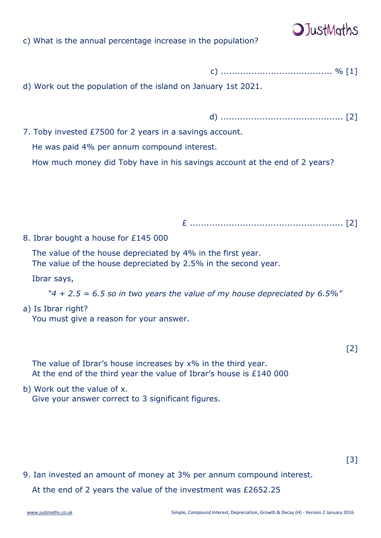# **O**JustMaths

c) What is the annual percentage increase in the population?

c) ........................................ % [1]

d) Work out the population of the island on January 1st 2021.

d) ............................................ [2]

7. Toby invested £7500 for 2 years in a savings account.

He was paid 4% per annum compound interest.

How much money did Toby have in his savings account at the end of 2 years?

£ ....................................................... [2]

8. Ibrar bought a house for £145 000

The value of the house depreciated by 4% in the first year. The value of the house depreciated by 2.5% in the second year.

Ibrar says,

*"4 + 2.5 = 6.5 so in two years the value of my house depreciated by 6.5%"*

### a) Is Ibrar right?

You must give a reason for your answer.

[2]

The value of Ibrar's house increases by x% in the third year. At the end of the third year the value of Ibrar's house is £140 000

b) Work out the value of x.

Give your answer correct to 3 significant figures.

9. Ian invested an amount of money at 3% per annum compound interest.

At the end of 2 years the value of the investment was £2652.25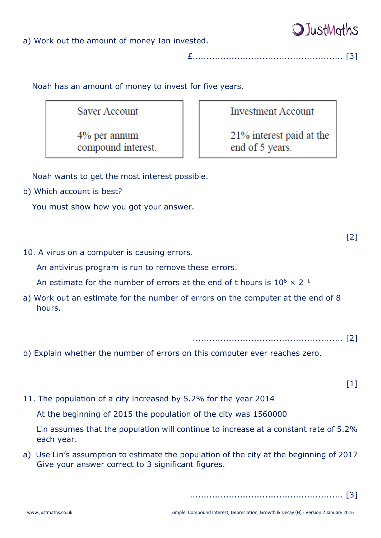a) Work out the amount of money Ian invested.

### £...................................................... [3]

**O** JustMoths

Noah has an amount of money to invest for five years.

**Saver Account** 

4% per annum compound interest. **Investment Account** 

21% interest paid at the end of 5 years.

Noah wants to get the most interest possible.

b) Which account is best?

You must show how you got your answer.

10. A virus on a computer is causing errors.

An antivirus program is run to remove these errors.

An estimate for the number of errors at the end of t hours is  $10^6 \times 2^{-t}$ 

a) Work out an estimate for the number of errors on the computer at the end of 8 hours.

...................................................... [2]

- b) Explain whether the number of errors on this computer ever reaches zero.
- $[1]$

11. The population of a city increased by 5.2% for the year 2014

At the beginning of 2015 the population of the city was 1560000

Lin assumes that the population will continue to increase at a constant rate of 5.2% each year.

a) Use Lin's assumption to estimate the population of the city at the beginning of 2017 Give your answer correct to 3 significant figures.

....................................................... [3]

# [2]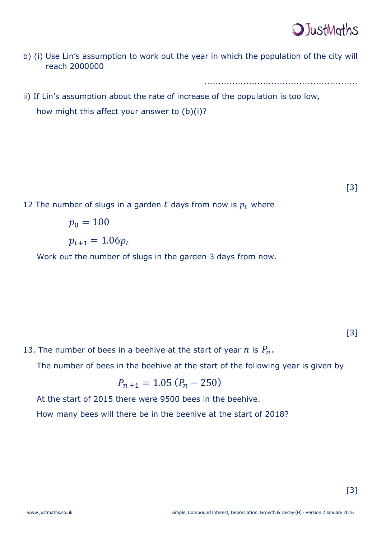

b) (i) Use Lin's assumption to work out the year in which the population of the city will reach 2000000

.......................................................

ii) If Lin's assumption about the rate of increase of the population is too low, how might this affect your answer to (b)(i)?

[3]

12 The number of slugs in a garden t days from now is  $p_t$  where

$$
p_0=100
$$

$$
p_{t+1}=1.06p_t
$$

Work out the number of slugs in the garden 3 days from now.

[3]

13. The number of bees in a beehive at the start of year  $n$  is  $P_n$ .

The number of bees in the beehive at the start of the following year is given by

$$
P_{n+1} = 1.05 (P_n - 250)
$$

At the start of 2015 there were 9500 bees in the beehive. How many bees will there be in the beehive at the start of 2018?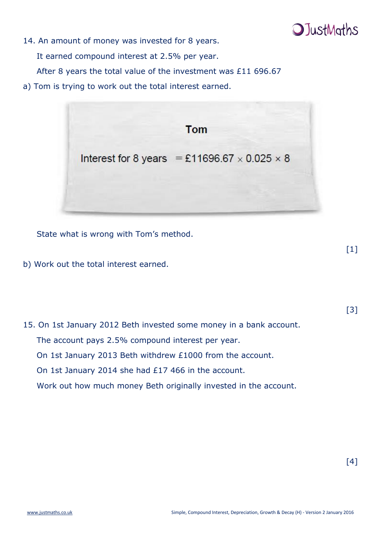

14. An amount of money was invested for 8 years.

It earned compound interest at 2.5% per year.

After 8 years the total value of the investment was £11 696.67

a) Tom is trying to work out the total interest earned.



State what is wrong with Tom's method.

b) Work out the total interest earned.

15. On 1st January 2012 Beth invested some money in a bank account. The account pays 2.5% compound interest per year. On 1st January 2013 Beth withdrew £1000 from the account. On 1st January 2014 she had £17 466 in the account. Work out how much money Beth originally invested in the account.

 $[1]$ 

[3]